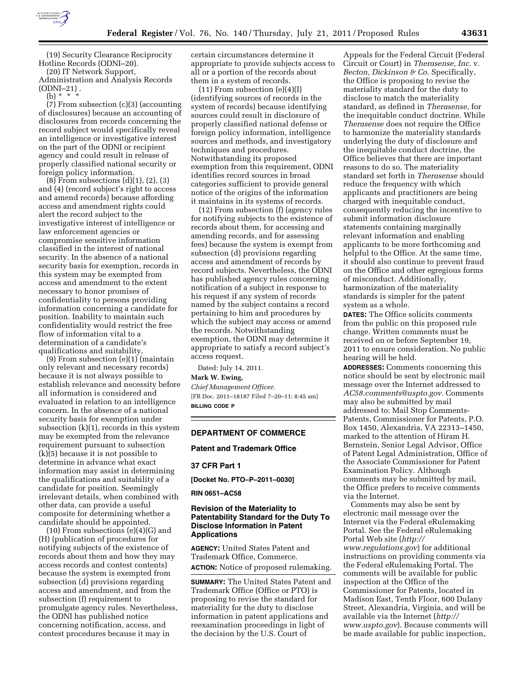

(19) Security Clearance Reciprocity Hotline Records (ODNI–20).

(20) IT Network Support, Administration and Analysis Records (ODNI–21) .

(b) \* \* \*

(7) From subsection (c)(3) (accounting of disclosures) because an accounting of disclosures from records concerning the record subject would specifically reveal an intelligence or investigative interest on the part of the ODNI or recipient agency and could result in release of properly classified national security or foreign policy information.

(8) From subsections (d)(1), (2), (3) and (4) (record subject's right to access and amend records) because affording access and amendment rights could alert the record subject to the investigative interest of intelligence or law enforcement agencies or compromise sensitive information classified in the interest of national security. In the absence of a national security basis for exemption, records in this system may be exempted from access and amendment to the extent necessary to honor promises of confidentiality to persons providing information concerning a candidate for position. Inability to maintain such confidentiality would restrict the free flow of information vital to a determination of a candidate's qualifications and suitability.

(9) From subsection (e)(1) (maintain only relevant and necessary records) because it is not always possible to establish relevance and necessity before all information is considered and evaluated in relation to an intelligence concern. In the absence of a national security basis for exemption under subsection (k)(1), records in this system may be exempted from the relevance requirement pursuant to subsection (k)(5) because it is not possible to determine in advance what exact information may assist in determining the qualifications and suitability of a candidate for position. Seemingly irrelevant details, when combined with other data, can provide a useful composite for determining whether a candidate should be appointed.

(10) From subsections (e)(4)(G) and (H) (publication of procedures for notifying subjects of the existence of records about them and how they may access records and contest contents) because the system is exempted from subsection (d) provisions regarding access and amendment, and from the subsection (f) requirement to promulgate agency rules. Nevertheless, the ODNI has published notice concerning notification, access, and contest procedures because it may in

certain circumstances determine it appropriate to provide subjects access to all or a portion of the records about them in a system of records.

(11) From subsection (e)(4)(I) (identifying sources of records in the system of records) because identifying sources could result in disclosure of properly classified national defense or foreign policy information, intelligence sources and methods, and investigatory techniques and procedures. Notwithstanding its proposed exemption from this requirement, ODNI identifies record sources in broad categories sufficient to provide general notice of the origins of the information it maintains in its systems of records.

(12) From subsection (f) (agency rules for notifying subjects to the existence of records about them, for accessing and amending records, and for assessing fees) because the system is exempt from subsection (d) provisions regarding access and amendment of records by record subjects. Nevertheless, the ODNI has published agency rules concerning notification of a subject in response to his request if any system of records named by the subject contains a record pertaining to him and procedures by which the subject may access or amend the records. Notwithstanding exemption, the ODNI may determine it appropriate to satisfy a record subject's access request.

Dated: July 14, 2011.

# **Mark W. Ewing,**

*Chief Management Officer.*  [FR Doc. 2011–18187 Filed 7–20–11; 8:45 am] **BILLING CODE P** 

# **DEPARTMENT OF COMMERCE**

**Patent and Trademark Office** 

## **37 CFR Part 1**

**[Docket No. PTO–P–2011–0030]** 

**RIN 0651–AC58** 

# **Revision of the Materiality to Patentability Standard for the Duty To Disclose Information in Patent Applications**

**AGENCY:** United States Patent and Trademark Office, Commerce. **ACTION:** Notice of proposed rulemaking.

**SUMMARY:** The United States Patent and Trademark Office (Office or PTO) is proposing to revise the standard for materiality for the duty to disclose information in patent applications and reexamination proceedings in light of the decision by the U.S. Court of

Appeals for the Federal Circuit (Federal Circuit or Court) in *Therasense, Inc.* v. *Becton, Dickinson & Co.* Specifically, the Office is proposing to revise the materiality standard for the duty to disclose to match the materiality standard, as defined in *Therasense,* for the inequitable conduct doctrine. While *Therasense* does not require the Office to harmonize the materiality standards underlying the duty of disclosure and the inequitable conduct doctrine, the Office believes that there are important reasons to do so. The materiality standard set forth in *Therasense* should reduce the frequency with which applicants and practitioners are being charged with inequitable conduct, consequently reducing the incentive to submit information disclosure statements containing marginally relevant information and enabling applicants to be more forthcoming and helpful to the Office. At the same time, it should also continue to prevent fraud on the Office and other egregious forms of misconduct. Additionally, harmonization of the materiality standards is simpler for the patent system as a whole.

**DATES:** The Office solicits comments from the public on this proposed rule change. Written comments must be received on or before September 19, 2011 to ensure consideration. No public hearing will be held.

**ADDRESSES:** Comments concerning this notice should be sent by electronic mail message over the Internet addressed to *[AC58.comments@uspto.gov.](mailto:AC58.comments@uspto.gov)* Comments may also be submitted by mail addressed to: Mail Stop Comments-Patents, Commissioner for Patents, P.O. Box 1450, Alexandria, VA 22313–1450, marked to the attention of Hiram H. Bernstein, Senior Legal Advisor, Office of Patent Legal Administration, Office of the Associate Commissioner for Patent Examination Policy. Although comments may be submitted by mail, the Office prefers to receive comments via the Internet.

Comments may also be sent by electronic mail message over the Internet via the Federal eRulemaking Portal. See the Federal eRulemaking Portal Web site (*[http://](http://www.regulations.gov) [www.regulations.gov](http://www.regulations.gov)*) for additional instructions on providing comments via the Federal eRulemaking Portal. The comments will be available for public inspection at the Office of the Commissioner for Patents, located in Madison East, Tenth Floor, 600 Dulany Street, Alexandria, Virginia, and will be available via the Internet (*[http://](http://www.uspto.gov) [www.uspto.gov](http://www.uspto.gov)*). Because comments will be made available for public inspection,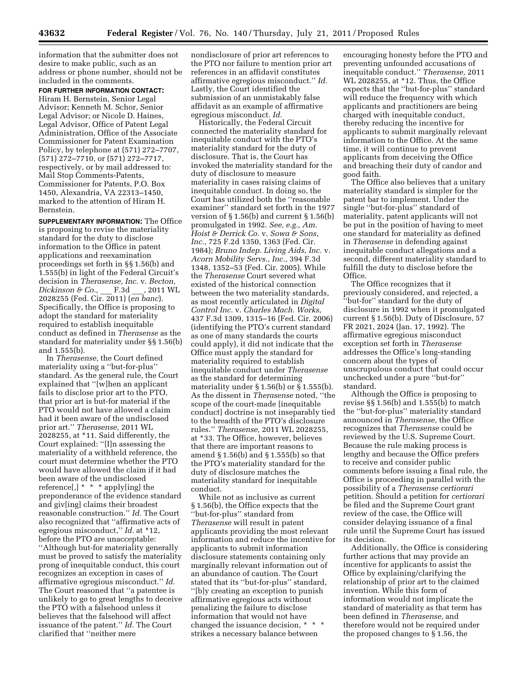information that the submitter does not desire to make public, such as an address or phone number, should not be included in the comments.

**FOR FURTHER INFORMATION CONTACT:**  Hiram H. Bernstein, Senior Legal Advisor; Kenneth M. Schor, Senior Legal Advisor; or Nicole D. Haines, Legal Advisor, Office of Patent Legal Administration, Office of the Associate Commissioner for Patent Examination Policy, by telephone at (571) 272–7707, (571) 272–7710, or (571) 272–7717, respectively, or by mail addressed to: Mail Stop Comments-Patents, Commissioner for Patents, P.O. Box 1450, Alexandria, VA 22313–1450, marked to the attention of Hiram H. Bernstein.

**SUPPLEMENTARY INFORMATION:** The Office is proposing to revise the materiality standard for the duty to disclose information to the Office in patent applications and reexamination proceedings set forth in §§ 1.56(b) and 1.555(b) in light of the Federal Circuit's decision in *Therasense, Inc.* v. *Becton, Dickinson & Co.,* \_\_\_ F.3d \_\_\_, 2011 WL 2028255 (Fed. Cir. 2011) (*en banc*). Specifically, the Office is proposing to adopt the standard for materiality required to establish inequitable conduct as defined in *Therasense* as the standard for materiality under §§ 1.56(b) and 1.555(b).

In *Therasense,* the Court defined materiality using a ''but-for-plus'' standard. As the general rule, the Court explained that ''[w]hen an applicant fails to disclose prior art to the PTO, that prior art is but-for material if the PTO would not have allowed a claim had it been aware of the undisclosed prior art.'' *Therasense,* 2011 WL 2028255, at \*11. Said differently, the Court explained: ''[I]n assessing the materiality of a withheld reference, the court must determine whether the PTO would have allowed the claim if it had been aware of the undisclosed reference[,] \* \* \* apply[ing] the preponderance of the evidence standard and giv[ing] claims their broadest reasonable construction.'' *Id.* The Court also recognized that ''affirmative acts of egregious misconduct,'' *Id.* at \*12, before the PTO are unacceptable: ''Although but-for materiality generally must be proved to satisfy the materiality prong of inequitable conduct, this court recognizes an exception in cases of affirmative egregious misconduct.'' *Id.*  The Court reasoned that ''a patentee is unlikely to go to great lengths to deceive the PTO with a falsehood unless it believes that the falsehood will affect issuance of the patent.'' *Id.* The Court clarified that ''neither mere

nondisclosure of prior art references to the PTO nor failure to mention prior art references in an affidavit constitutes affirmative egregious misconduct.'' *Id.*  Lastly, the Court identified the submission of an unmistakably false affidavit as an example of affirmative egregious misconduct. *Id.* 

Historically, the Federal Circuit connected the materiality standard for inequitable conduct with the PTO's materiality standard for the duty of disclosure. That is, the Court has invoked the materiality standard for the duty of disclosure to measure materiality in cases raising claims of inequitable conduct. In doing so, the Court has utilized both the ''reasonable examiner'' standard set forth in the 1977 version of § 1.56(b) and current § 1.56(b) promulgated in 1992. *See, e.g., Am. Hoist & Derrick Co.* v. *Sowa & Sons, Inc.,* 725 F.2d 1350, 1363 (Fed. Cir. 1984); *Bruno Indep. Living Aids, Inc.* v. *Acorn Mobility Servs., Inc.,* 394 F.3d 1348, 1352–53 (Fed. Cir. 2005). While the *Therasense* Court severed what existed of the historical connection between the two materiality standards, as most recently articulated in *Digital Control Inc.* v. *Charles Mach. Works,*  437 F.3d 1309, 1315–16 (Fed. Cir. 2006) (identifying the PTO's current standard as one of many standards the courts could apply), it did not indicate that the Office must apply the standard for materiality required to establish inequitable conduct under *Therasense*  as the standard for determining materiality under  $\S 1.56(b)$  or  $\S 1.555(b)$ . As the dissent in *Therasense* noted, ''the scope of the court-made [inequitable conduct] doctrine is not inseparably tied to the breadth of the PTO's disclosure rules.'' *Therasense,* 2011 WL 2028255, at \*33. The Office, however, believes that there are important reasons to amend § 1.56(b) and § 1.555(b) so that the PTO's materiality standard for the duty of disclosure matches the materiality standard for inequitable conduct.

While not as inclusive as current § 1.56(b), the Office expects that the ''but-for-plus'' standard from *Therasense* will result in patent applicants providing the most relevant information and reduce the incentive for applicants to submit information disclosure statements containing only marginally relevant information out of an abundance of caution. The Court stated that its ''but-for-plus'' standard, ''[b]y creating an exception to punish affirmative egregious acts without penalizing the failure to disclose information that would not have changed the issuance decision, \* \* \* strikes a necessary balance between

encouraging honesty before the PTO and preventing unfounded accusations of inequitable conduct.'' *Therasense,* 2011 WL 2028255, at \*12. Thus, the Office expects that the ''but-for-plus'' standard will reduce the frequency with which applicants and practitioners are being charged with inequitable conduct, thereby reducing the incentive for applicants to submit marginally relevant information to the Office. At the same time, it will continue to prevent applicants from deceiving the Office and breaching their duty of candor and good faith.

The Office also believes that a unitary materiality standard is simpler for the patent bar to implement. Under the single ''but-for-plus'' standard of materiality, patent applicants will not be put in the position of having to meet one standard for materiality as defined in *Therasense* in defending against inequitable conduct allegations and a second, different materiality standard to fulfill the duty to disclose before the Office.

The Office recognizes that it previously considered, and rejected, a ''but-for'' standard for the duty of disclosure in 1992 when it promulgated current § 1.56(b). Duty of Disclosure, 57 FR 2021, 2024 (Jan. 17, 1992). The affirmative egregious misconduct exception set forth in *Therasense*  addresses the Office's long-standing concern about the types of unscrupulous conduct that could occur unchecked under a pure ''but-for'' standard.

Although the Office is proposing to revise §§ 1.56(b) and 1.555(b) to match the ''but-for-plus'' materiality standard announced in *Therasense,* the Office recognizes that *Therasense* could be reviewed by the U.S. Supreme Court. Because the rule making process is lengthy and because the Office prefers to receive and consider public comments before issuing a final rule, the Office is proceeding in parallel with the possibility of a *Therasense certiorari*  petition. Should a petition for *certiorari*  be filed and the Supreme Court grant review of the case, the Office will consider delaying issuance of a final rule until the Supreme Court has issued its decision.

Additionally, the Office is considering further actions that may provide an incentive for applicants to assist the Office by explaining/clarifying the relationship of prior art to the claimed invention. While this form of information would not implicate the standard of materiality as that term has been defined in *Therasense,* and therefore would not be required under the proposed changes to § 1.56, the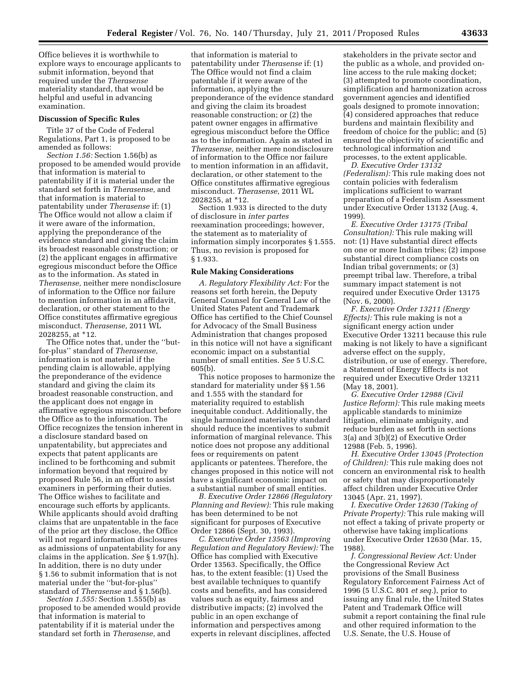Office believes it is worthwhile to explore ways to encourage applicants to submit information, beyond that required under the *Therasense*  materiality standard, that would be helpful and useful in advancing examination.

## **Discussion of Specific Rules**

Title 37 of the Code of Federal Regulations, Part 1, is proposed to be amended as follows:

*Section 1.56:* Section 1.56(b) as proposed to be amended would provide that information is material to patentability if it is material under the standard set forth in *Therasense,* and that information is material to patentability under *Therasense* if: (1) The Office would not allow a claim if it were aware of the information, applying the preponderance of the evidence standard and giving the claim its broadest reasonable construction; or (2) the applicant engages in affirmative egregious misconduct before the Office as to the information. As stated in *Therasense,* neither mere nondisclosure of information to the Office nor failure to mention information in an affidavit, declaration, or other statement to the Office constitutes affirmative egregious misconduct. *Therasense,* 2011 WL 2028255, at \*12.

The Office notes that, under the ''butfor-plus'' standard of *Therasense,*  information is not material if the pending claim is allowable, applying the preponderance of the evidence standard and giving the claim its broadest reasonable construction, and the applicant does not engage in affirmative egregious misconduct before the Office as to the information. The Office recognizes the tension inherent in a disclosure standard based on unpatentability, but appreciates and expects that patent applicants are inclined to be forthcoming and submit information beyond that required by proposed Rule 56, in an effort to assist examiners in performing their duties. The Office wishes to facilitate and encourage such efforts by applicants. While applicants should avoid drafting claims that are unpatentable in the face of the prior art they disclose, the Office will not regard information disclosures as admissions of unpatentability for any claims in the application. *See* § 1.97(h). In addition, there is no duty under § 1.56 to submit information that is not material under the ''but-for-plus'' standard of *Therasense* and § 1.56(b).

*Section 1.555:* Section 1.555(b) as proposed to be amended would provide that information is material to patentability if it is material under the standard set forth in *Therasense,* and

that information is material to patentability under *Therasense* if: (1) The Office would not find a claim patentable if it were aware of the information, applying the preponderance of the evidence standard and giving the claim its broadest reasonable construction; or (2) the patent owner engages in affirmative egregious misconduct before the Office as to the information. Again as stated in *Therasense,* neither mere nondisclosure of information to the Office nor failure to mention information in an affidavit, declaration, or other statement to the Office constitutes affirmative egregious misconduct. *Therasense,* 2011 WL 2028255, at \*12.

Section 1.933 is directed to the duty of disclosure in *inter partes*  reexamination proceedings; however, the statement as to materiality of information simply incorporates § 1.555. Thus, no revision is proposed for § 1.933.

#### **Rule Making Considerations**

*A. Regulatory Flexibility Act:* For the reasons set forth herein, the Deputy General Counsel for General Law of the United States Patent and Trademark Office has certified to the Chief Counsel for Advocacy of the Small Business Administration that changes proposed in this notice will not have a significant economic impact on a substantial number of small entities. *See* 5 U.S.C. 605(b).

This notice proposes to harmonize the standard for materiality under §§ 1.56 and 1.555 with the standard for materiality required to establish inequitable conduct. Additionally, the single harmonized materiality standard should reduce the incentives to submit information of marginal relevance. This notice does not propose any additional fees or requirements on patent applicants or patentees. Therefore, the changes proposed in this notice will not have a significant economic impact on a substantial number of small entities.

*B. Executive Order 12866 (Regulatory Planning and Review):* This rule making has been determined to be not significant for purposes of Executive Order 12866 (Sept. 30, 1993).

*C. Executive Order 13563 (Improving Regulation and Regulatory Review):* The Office has complied with Executive Order 13563. Specifically, the Office has, to the extent feasible: (1) Used the best available techniques to quantify costs and benefits, and has considered values such as equity, fairness and distributive impacts; (2) involved the public in an open exchange of information and perspectives among experts in relevant disciplines, affected

stakeholders in the private sector and the public as a whole, and provided online access to the rule making docket; (3) attempted to promote coordination, simplification and harmonization across government agencies and identified goals designed to promote innovation; (4) considered approaches that reduce burdens and maintain flexibility and freedom of choice for the public; and (5) ensured the objectivity of scientific and technological information and processes, to the extent applicable.

*D. Executive Order 13132 (Federalism):* This rule making does not contain policies with federalism implications sufficient to warrant preparation of a Federalism Assessment under Executive Order 13132 (Aug. 4, 1999).

*E. Executive Order 13175 (Tribal Consultation):* This rule making will not: (1) Have substantial direct effects on one or more Indian tribes; (2) impose substantial direct compliance costs on Indian tribal governments; or (3) preempt tribal law. Therefore, a tribal summary impact statement is not required under Executive Order 13175 (Nov. 6, 2000).

*F. Executive Order 13211 (Energy Effects):* This rule making is not a significant energy action under Executive Order 13211 because this rule making is not likely to have a significant adverse effect on the supply, distribution, or use of energy. Therefore, a Statement of Energy Effects is not required under Executive Order 13211 (May 18, 2001).

*G. Executive Order 12988 (Civil Justice Reform):* This rule making meets applicable standards to minimize litigation, eliminate ambiguity, and reduce burden as set forth in sections 3(a) and 3(b)(2) of Executive Order 12988 (Feb. 5, 1996).

*H. Executive Order 13045 (Protection of Children):* This rule making does not concern an environmental risk to health or safety that may disproportionately affect children under Executive Order 13045 (Apr. 21, 1997).

*I. Executive Order 12630 (Taking of Private Property):* This rule making will not effect a taking of private property or otherwise have taking implications under Executive Order 12630 (Mar. 15, 1988).

*J. Congressional Review Act:* Under the Congressional Review Act provisions of the Small Business Regulatory Enforcement Fairness Act of 1996 (5 U.S.C. 801 *et seq.*), prior to issuing any final rule, the United States Patent and Trademark Office will submit a report containing the final rule and other required information to the U.S. Senate, the U.S. House of